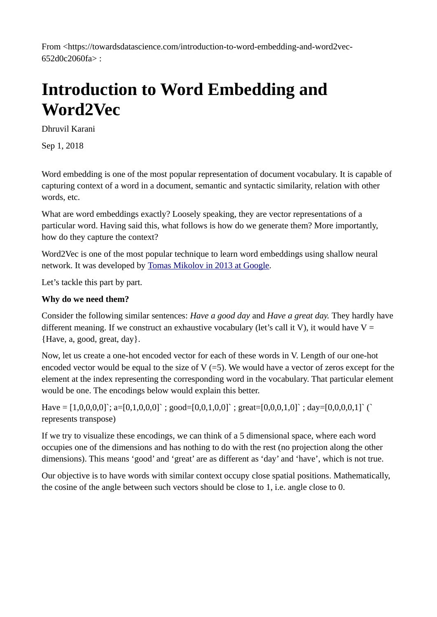From <https://towardsdatascience.com/introduction-to-word-embedding-and-word2vec-652d0c2060fa> :

# **Introduction to Word Embedding and Word2Vec**

Dhruvil Karani

Sep 1, 2018

Word embedding is one of the most popular representation of document vocabulary. It is capable of capturing context of a word in a document, semantic and syntactic similarity, relation with other words, etc.

What are word embeddings exactly? Loosely speaking, they are vector representations of a particular word. Having said this, what follows is how do we generate them? More importantly, how do they capture the context?

Word2Vec is one of the most popular technique to learn word embeddings using shallow neural network. It was developed by [Tomas Mikolov in 2013 at Google.](https://arxiv.org/pdf/1310.4546.pdf)

Let's tackle this part by part.

# **Why do we need them?**

Consider the following similar sentences: *Have a good day* and *Have a great day.* They hardly have different meaning. If we construct an exhaustive vocabulary (let's call it V), it would have  $V =$ {Have, a, good, great, day}.

Now, let us create a one-hot encoded vector for each of these words in V. Length of our one-hot encoded vector would be equal to the size of V  $(=5)$ . We would have a vector of zeros except for the element at the index representing the corresponding word in the vocabulary. That particular element would be one. The encodings below would explain this better.

Have =  $[1,0,0,0,0]$ ; a= $[0,1,0,0,0]$ ; good= $[0,0,1,0,0]$ ; great= $[0,0,0,1,0]$ ; day= $[0,0,0,0,1]$ ; ( represents transpose)

If we try to visualize these encodings, we can think of a 5 dimensional space, where each word occupies one of the dimensions and has nothing to do with the rest (no projection along the other dimensions). This means 'good' and 'great' are as different as 'day' and 'have', which is not true.

Our objective is to have words with similar context occupy close spatial positions. Mathematically, the cosine of the angle between such vectors should be close to 1, i.e. angle close to 0.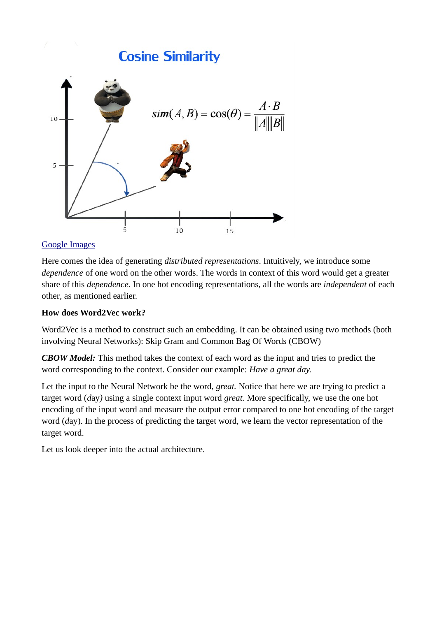

# [Google Images](http://i0.wp.com/techinpink.com/wp-content/uploads/2017/07/cosine.png)

Here comes the idea of generating *distributed representations*. Intuitively, we introduce some *dependence* of one word on the other words. The words in context of this word would get a greater share of this *dependence.* In one hot encoding representations, all the words are *independent* of each other*,* as mentioned earlier.

## **How does Word2Vec work?**

Word2Vec is a method to construct such an embedding. It can be obtained using two methods (both involving Neural Networks): Skip Gram and Common Bag Of Words (CBOW)

*CBOW Model:* This method takes the context of each word as the input and tries to predict the word corresponding to the context. Consider our example: *Have a great day.*

Let the input to the Neural Network be the word, *great.* Notice that here we are trying to predict a target word (*d*ay*)* using a single context input word *great.* More specifically, we use the one hot encoding of the input word and measure the output error compared to one hot encoding of the target word (*d*ay). In the process of predicting the target word, we learn the vector representation of the target word.

Let us look deeper into the actual architecture.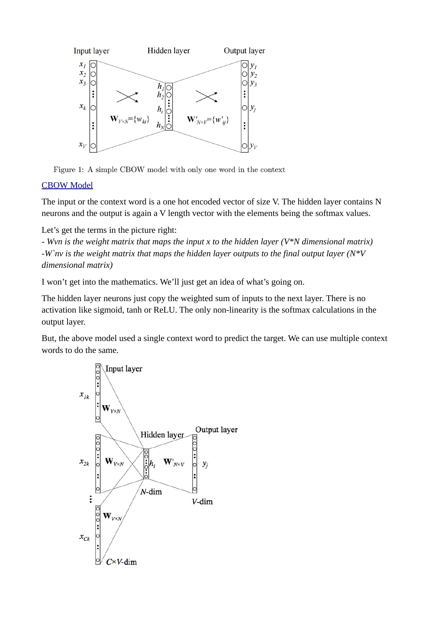



# [CBOW Model](https://i.stack.imgur.com/sAvR9.png)

The input or the context word is a one hot encoded vector of size V. The hidden layer contains N neurons and the output is again a V length vector with the elements being the softmax values.

Let's get the terms in the picture right:

*- Wvn is the weight matrix that maps the input x to the hidden layer (V\*N dimensional matrix)* -*W`nv is the weight matrix that maps the hidden layer outputs to the final output layer (N\*V dimensional matrix)*

I won't get into the mathematics. We'll just get an idea of what's going on.

The hidden layer neurons just copy the weighted sum of inputs to the next layer. There is no activation like sigmoid, tanh or ReLU. The only non-linearity is the softmax calculations in the output layer.

But, the above model used a single context word to predict the target. We can use multiple context words to do the same.

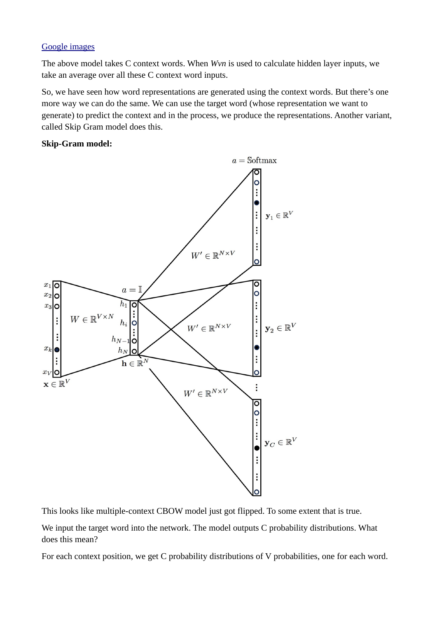### [Google images](http://www.stokastik.in/understanding-word-vectors-and-word2vec/)

The above model takes C context words. When *Wvn* is used to calculate hidden layer inputs, we take an average over all these C context word inputs.

So, we have seen how word representations are generated using the context words. But there's one more way we can do the same. We can use the target word (whose representation we want to generate) to predict the context and in the process, we produce the representations. Another variant, called Skip Gram model does this.

### **Skip-Gram model:**



This looks like multiple-context CBOW model just got flipped. To some extent that is true.

We input the target word into the network. The model outputs C probability distributions. What does this mean?

For each context position, we get C probability distributions of V probabilities, one for each word.